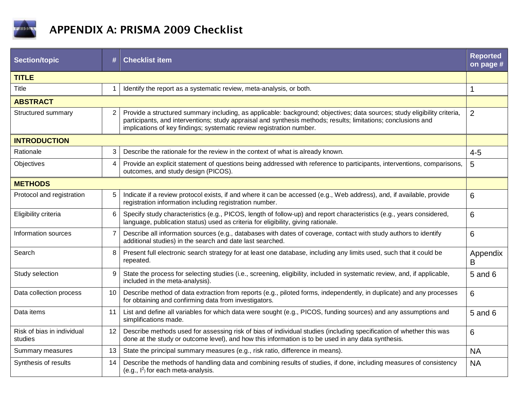

## APPENDIX A: PRISMA 2009 Checklist

| <b>Section/topic</b>                  | #              | <b>Checklist item</b>                                                                                                                                                                                                                                                                                             | <b>Reported</b><br>on page # |  |
|---------------------------------------|----------------|-------------------------------------------------------------------------------------------------------------------------------------------------------------------------------------------------------------------------------------------------------------------------------------------------------------------|------------------------------|--|
| <b>TITLE</b>                          |                |                                                                                                                                                                                                                                                                                                                   |                              |  |
| <b>Title</b>                          | 1              | Identify the report as a systematic review, meta-analysis, or both.                                                                                                                                                                                                                                               | $\mathbf 1$                  |  |
| <b>ABSTRACT</b>                       |                |                                                                                                                                                                                                                                                                                                                   |                              |  |
| Structured summary                    | $\overline{2}$ | Provide a structured summary including, as applicable: background; objectives; data sources; study eligibility criteria,<br>participants, and interventions; study appraisal and synthesis methods; results; limitations; conclusions and<br>implications of key findings; systematic review registration number. | $\overline{2}$               |  |
| <b>INTRODUCTION</b>                   |                |                                                                                                                                                                                                                                                                                                                   |                              |  |
| Rationale                             | 3              | Describe the rationale for the review in the context of what is already known.                                                                                                                                                                                                                                    | $4 - 5$                      |  |
| Objectives                            | 4              | Provide an explicit statement of questions being addressed with reference to participants, interventions, comparisons,<br>outcomes, and study design (PICOS).                                                                                                                                                     | 5                            |  |
| <b>METHODS</b>                        |                |                                                                                                                                                                                                                                                                                                                   |                              |  |
| Protocol and registration             | 5              | Indicate if a review protocol exists, if and where it can be accessed (e.g., Web address), and, if available, provide<br>registration information including registration number.                                                                                                                                  | 6                            |  |
| Eligibility criteria                  | 6              | Specify study characteristics (e.g., PICOS, length of follow-up) and report characteristics (e.g., years considered,<br>language, publication status) used as criteria for eligibility, giving rationale.                                                                                                         | 6                            |  |
| Information sources                   | $\overline{7}$ | Describe all information sources (e.g., databases with dates of coverage, contact with study authors to identify<br>additional studies) in the search and date last searched.                                                                                                                                     | 6                            |  |
| Search                                | 8              | Present full electronic search strategy for at least one database, including any limits used, such that it could be<br>repeated.                                                                                                                                                                                  | Appendix<br>B                |  |
| Study selection                       | 9              | State the process for selecting studies (i.e., screening, eligibility, included in systematic review, and, if applicable,<br>included in the meta-analysis).                                                                                                                                                      | 5 and 6                      |  |
| Data collection process               | 10             | Describe method of data extraction from reports (e.g., piloted forms, independently, in duplicate) and any processes<br>for obtaining and confirming data from investigators.                                                                                                                                     | 6                            |  |
| Data items                            | 11             | List and define all variables for which data were sought (e.g., PICOS, funding sources) and any assumptions and<br>simplifications made.                                                                                                                                                                          | 5 and 6                      |  |
| Risk of bias in individual<br>studies | 12             | Describe methods used for assessing risk of bias of individual studies (including specification of whether this was<br>done at the study or outcome level), and how this information is to be used in any data synthesis.                                                                                         | 6                            |  |
| Summary measures                      | 13             | State the principal summary measures (e.g., risk ratio, difference in means).                                                                                                                                                                                                                                     | <b>NA</b>                    |  |
| Synthesis of results                  | 14             | Describe the methods of handling data and combining results of studies, if done, including measures of consistency<br>(e.g., $I^2$ ) for each meta-analysis.                                                                                                                                                      | <b>NA</b>                    |  |